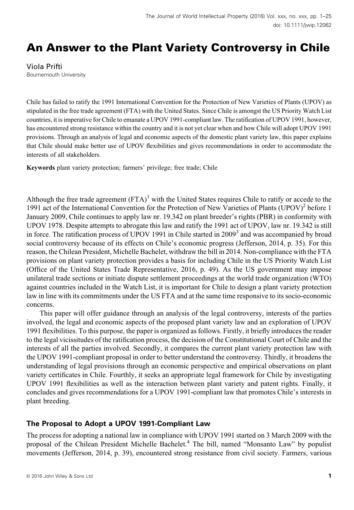# An Answer to the Plant Variety Controversy in Chile

Viola Prifti Bournemouth University

Chile has failed to ratify the 1991 International Convention for the Protection of New Varieties of Plants (UPOV) as stipulated in the free trade agreement (FTA) with the United States. Since Chile is amongst the US Priority Watch List countries, it is imperative for Chile to emanate a UPOV 1991-compliant law. The ratification of UPOV 1991, however, has encountered strong resistance within the country and it is not yet clear when and how Chile will adopt UPOV 1991 provisions. Through an analysis of legal and economic aspects of the domestic plant variety law, this paper explains that Chile should make better use of UPOV flexibilities and gives recommendations in order to accommodate the interests of all stakeholders.

Keywords plant variety protection; farmers' privilege; free trade; Chile

Although the free trade agreement  $(FTA)^{1}$  with the United States requires Chile to ratify or accede to the 1991 act of the International Convention for the Protection of New Varieties of Plants (UPOV)<sup>2</sup> before 1 January 2009, Chile continues to apply law nr. 19.342 on plant breeder's rights (PBR) in conformity with UPOV 1978. Despite attempts to abrogate this law and ratify the 1991 act of UPOV, law nr. 19.342 is still in force. The ratification process of UPOV 1991 in Chile started in 2009<sup>3</sup> and was accompanied by broad social controversy because of its effects on Chile's economic progress (Jefferson, 2014, p. 35). For this reason, the Chilean President, Michelle Bachelet, withdraw the bill in 2014. Non-compliance with the FTA provisions on plant variety protection provides a basis for including Chile in the US Priority Watch List (Office of the United States Trade Representative, 2016, p. 49). As the US government may impose unilateral trade sections or initiate dispute settlement proceedings at the world trade organization (WTO) against countries included in the Watch List, it is important for Chile to design a plant variety protection law in line with its commitments under the US FTA and at the same time responsive to its socio-economic concerns.

This paper will offer guidance through an analysis of the legal controversy, interests of the parties involved, the legal and economic aspects of the proposed plant variety law and an exploration of UPOV 1991 flexibilities. To this purpose, the paper is organized as follows. Firstly, it briefly introduces the reader to the legal vicissitudes of the ratification process, the decision of the Constitutional Court of Chile and the interests of all the parties involved. Secondly, it compares the current plant variety protection law with the UPOV 1991-compliant proposal in order to better understand the controversy. Thirdly, it broadens the understanding of legal provisions through an economic perspective and empirical observations on plant variety certificates in Chile. Fourthly, it seeks an appropriate legal framework for Chile by investigating UPOV 1991 flexibilities as well as the interaction between plant variety and patent rights. Finally, it concludes and gives recommendations for a UPOV 1991-compliant law that promotes Chile's interests in plant breeding.

# The Proposal to Adopt a UPOV 1991-Compliant Law

The process for adopting a national law in compliance with UPOV 1991 started on 3 March 2009 with the proposal of the Chilean President Michelle Bachelet.4 The bill, named "Monsanto Law" by populist movements (Jefferson, 2014, p. 39), encountered strong resistance from civil society. Farmers, various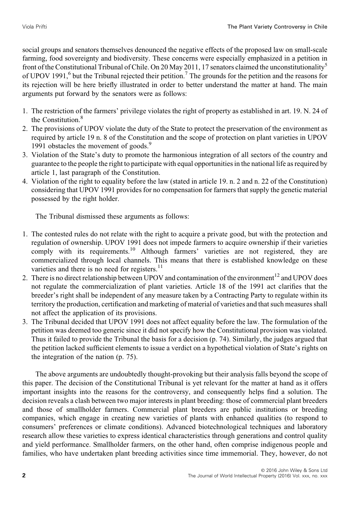social groups and senators themselves denounced the negative effects of the proposed law on small-scale farming, food sovereignty and biodiversity. These concerns were especially emphasized in a petition in front of the Constitutional Tribunal of Chile. On 20 May 2011, 17 senators claimed the unconstitutionality<sup>5</sup> of UPOV 1991,<sup>6</sup> but the Tribunal rejected their petition.<sup>7</sup> The grounds for the petition and the reasons for its rejection will be here briefly illustrated in order to better understand the matter at hand. The main arguments put forward by the senators were as follows:

- 1. The restriction of the farmers' privilege violates the right of property as established in art. 19. N. 24 of the Constitution.<sup>8</sup>
- 2. The provisions of UPOV violate the duty of the State to protect the preservation of the environment as required by article 19 n. 8 of the Constitution and the scope of protection on plant varieties in UPOV 1991 obstacles the movement of goods.<sup>9</sup>
- 3. Violation of the State's duty to promote the harmonious integration of all sectors of the country and guarantee to the people the right to participate with equal opportunities in the national life as required by article 1, last paragraph of the Constitution.
- 4. Violation of the right to equality before the law (stated in article 19. n. 2 and n. 22 of the Constitution) considering that UPOV 1991 provides for no compensation for farmers that supply the genetic material possessed by the right holder.

The Tribunal dismissed these arguments as follows:

- 1. The contested rules do not relate with the right to acquire a private good, but with the protection and regulation of ownership. UPOV 1991 does not impede farmers to acquire ownership if their varieties comply with its requirements.<sup>10</sup> Although farmers' varieties are not registered, they are commercialized through local channels. This means that there is established knowledge on these varieties and there is no need for registers. $<sup>11</sup>$ </sup>
- 2. There is no direct relationship between UPOV and contamination of the environment<sup>12</sup> and UPOV does not regulate the commercialization of plant varieties. Article 18 of the 1991 act clarifies that the breeder's right shall be independent of any measure taken by a Contracting Party to regulate within its territory the production, certification and marketing of material of varieties and that such measures shall not affect the application of its provisions.
- 3. The Tribunal decided that UPOV 1991 does not affect equality before the law. The formulation of the petition was deemed too generic since it did not specify how the Constitutional provision was violated. Thus it failed to provide the Tribunal the basis for a decision (p. 74). Similarly, the judges argued that the petition lacked sufficient elements to issue a verdict on a hypothetical violation of State's rights on the integration of the nation (p. 75).

The above arguments are undoubtedly thought-provoking but their analysis falls beyond the scope of this paper. The decision of the Constitutional Tribunal is yet relevant for the matter at hand as it offers important insights into the reasons for the controversy, and consequently helps find a solution. The decision reveals a clash between two major interests in plant breeding: those of commercial plant breeders and those of smallholder farmers. Commercial plant breeders are public institutions or breeding companies, which engage in creating new varieties of plants with enhanced qualities (to respond to consumers' preferences or climate conditions). Advanced biotechnological techniques and laboratory research allow these varieties to express identical characteristics through generations and control quality and yield performance. Smallholder farmers, on the other hand, often comprise indigenous people and families, who have undertaken plant breeding activities since time immemorial. They, however, do not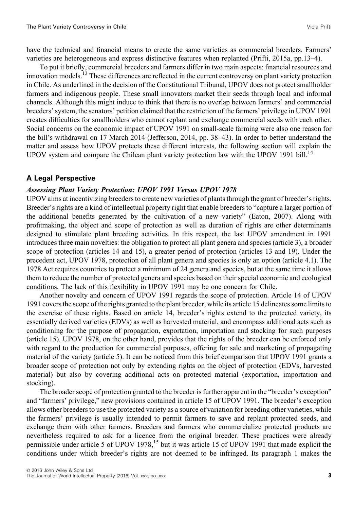have the technical and financial means to create the same varieties as commercial breeders. Farmers' varieties are heterogeneous and express distinctive features when replanted (Prifti, 2015a, pp.13–4).

To put it briefly, commercial breeders and farmers differ in two main aspects: financial resources and innovation models.<sup>13</sup> These differences are reflected in the current controversy on plant variety protection in Chile. As underlined in the decision of the Constitutional Tribunal, UPOV does not protect smallholder farmers and indigenous people. These small innovators market their seeds through local and informal channels. Although this might induce to think that there is no overlap between farmers' and commercial breeders'system, the senators' petition claimed that the restriction of the farmers' privilege in UPOV 1991 creates difficulties for smallholders who cannot replant and exchange commercial seeds with each other. Social concerns on the economic impact of UPOV 1991 on small-scale farming were also one reason for the bill's withdrawal on 17 March 2014 (Jefferson, 2014, pp. 38–43). In order to better understand the matter and assess how UPOV protects these different interests, the following section will explain the UPOV system and compare the Chilean plant variety protection law with the UPOV 1991 bill.<sup>14</sup>

#### A Legal Perspective

#### Assessing Plant Variety Protection: UPOV 1991 Versus UPOV 1978

UPOV aims at incentivizing breeders to create new varieties of plants through the grant of breeder's rights. Breeder's rights are a kind of intellectual property right that enable breeders to "capture a larger portion of the additional benefits generated by the cultivation of a new variety" (Eaton, 2007). Along with profitmaking, the object and scope of protection as well as duration of rights are other determinants designed to stimulate plant breeding activities. In this respect, the last UPOV amendment in 1991 introduces three main novelties: the obligation to protect all plant genera and species (article 3), a broader scope of protection (articles 14 and 15), a greater period of protection (articles 13 and 19). Under the precedent act, UPOV 1978, protection of all plant genera and species is only an option (article 4.1). The 1978 Act requires countries to protect a minimum of 24 genera and species, but at the same time it allows them to reduce the number of protected genera and species based on their special economic and ecological conditions. The lack of this flexibility in UPOV 1991 may be one concern for Chile.

Another novelty and concern of UPOV 1991 regards the scope of protection. Article 14 of UPOV 1991 covers the scope of the rights granted to the plant breeder, while its article 15 delineates some limits to the exercise of these rights. Based on article 14, breeder's rights extend to the protected variety, its essentially derived varieties (EDVs) as well as harvested material, and encompass additional acts such as conditioning for the purpose of propagation, exportation, importation and stocking for such purposes (article 15). UPOV 1978, on the other hand, provides that the rights of the breeder can be enforced only with regard to the production for commercial purposes, offering for sale and marketing of propagating material of the variety (article 5). It can be noticed from this brief comparison that UPOV 1991 grants a broader scope of protection not only by extending rights on the object of protection (EDVs, harvested material) but also by covering additional acts on protected material (exportation, importation and stocking).

The broader scope of protection granted to the breeder is further apparent in the "breeder's exception" and "farmers' privilege," new provisions contained in article 15 of UPOV 1991. The breeder's exception allows other breeders to use the protected variety as a source of variation for breeding other varieties, while the farmers' privilege is usually intended to permit farmers to save and replant protected seeds, and exchange them with other farmers. Breeders and farmers who commercialize protected products are nevertheless required to ask for a licence from the original breeder. These practices were already permissible under article 5 of UPOV 1978,<sup>15</sup> but it was article 15 of UPOV 1991 that made explicit the conditions under which breeder's rights are not deemed to be infringed. Its paragraph 1 makes the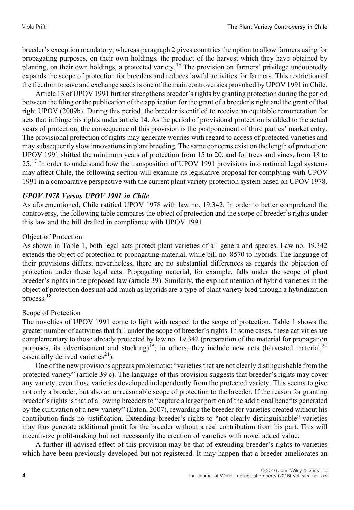breeder's exception mandatory, whereas paragraph 2 gives countries the option to allow farmers using for propagating purposes, on their own holdings, the product of the harvest which they have obtained by planting, on their own holdings, a protected variety.<sup>16</sup> The provision on farmers' privilege undoubtedly expands the scope of protection for breeders and reduces lawful activities for farmers. This restriction of the freedom to save and exchange seeds is one of the main controversies provoked by UPOV 1991 in Chile.

Article 13 of UPOV 1991 further strengthens breeder's rights by granting protection during the period between the filing or the publication of the application for the grant of a breeder's right and the grant of that right UPOV (2009b). During this period, the breeder is entitled to receive an equitable remuneration for acts that infringe his rights under article 14. As the period of provisional protection is added to the actual years of protection, the consequence of this provision is the postponement of third parties' market entry. The provisional protection of rights may generate worries with regard to access of protected varieties and may subsequently slow innovations in plant breeding. The same concerns exist on the length of protection; UPOV 1991 shifted the minimum years of protection from 15 to 20, and for trees and vines, from 18 to 25.<sup>17</sup> In order to understand how the transposition of UPOV 1991 provisions into national legal systems may affect Chile, the following section will examine its legislative proposal for complying with UPOV 1991 in a comparative perspective with the current plant variety protection system based on UPOV 1978.

# UPOV 1978 Versus UPOV 1991 in Chile

As aforementioned, Chile ratified UPOV 1978 with law no. 19.342. In order to better comprehend the controversy, the following table compares the object of protection and the scope of breeder's rights under this law and the bill drafted in compliance with UPOV 1991.

## Object of Protection

As shown in Table 1, both legal acts protect plant varieties of all genera and species. Law no. 19.342 extends the object of protection to propagating material, while bill no. 8570 to hybrids. The language of their provisions differs; nevertheless, there are no substantial differences as regards the objection of protection under these legal acts. Propagating material, for example, falls under the scope of plant breeder's rights in the proposed law (article 39). Similarly, the explicit mention of hybrid varieties in the object of protection does not add much as hybrids are a type of plant variety bred through a hybridization process.18

# Scope of Protection

The novelties of UPOV 1991 come to light with respect to the scope of protection. Table 1 shows the greater number of activities that fall under the scope of breeder's rights. In some cases, these activities are complementary to those already protected by law no. 19.342 (preparation of the material for propagation purposes, its advertisement and stocking)<sup>19</sup>; in others, they include new acts (harvested material,<sup>20</sup>) essentially derived varieties<sup>21</sup>).

One of the new provisions appears problematic: "varieties that are not clearly distinguishable from the protected variety" (article 39 c). The language of this provision suggests that breeder's rights may cover any variety, even those varieties developed independently from the protected variety. This seems to give not only a broader, but also an unreasonable scope of protection to the breeder. If the reason for granting breeder's rights is that of allowing breeders to "capture a larger portion of the additional benefits generated by the cultivation of a new variety" (Eaton, 2007), rewarding the breeder for varieties created without his contribution finds no justification. Extending breeder's rights to "not clearly distinguishable" varieties may thus generate additional profit for the breeder without a real contribution from his part. This will incentivize profit-making but not necessarily the creation of varieties with novel added value.

A further ill-advised effect of this provision may be that of extending breeder's rights to varieties which have been previously developed but not registered. It may happen that a breeder ameliorates an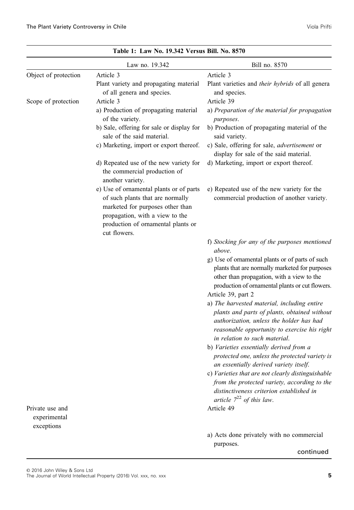|                                               | Table 1: Law No. 19.342 Versus Bill. No. 8570                                                                                                                                                            |                                                                                                                                                                                                                          |
|-----------------------------------------------|----------------------------------------------------------------------------------------------------------------------------------------------------------------------------------------------------------|--------------------------------------------------------------------------------------------------------------------------------------------------------------------------------------------------------------------------|
|                                               | Law no. 19.342                                                                                                                                                                                           | Bill no. 8570                                                                                                                                                                                                            |
| Object of protection                          | Article 3<br>Plant variety and propagating material<br>of all genera and species.                                                                                                                        | Article 3<br>Plant varieties and their hybrids of all genera<br>and species.                                                                                                                                             |
| Scope of protection                           | Article 3                                                                                                                                                                                                | Article 39                                                                                                                                                                                                               |
|                                               | a) Production of propagating material<br>of the variety.                                                                                                                                                 | a) Preparation of the material for propagation<br>purposes.                                                                                                                                                              |
|                                               | b) Sale, offering for sale or display for<br>sale of the said material.                                                                                                                                  | b) Production of propagating material of the<br>said variety.                                                                                                                                                            |
|                                               | c) Marketing, import or export thereof.                                                                                                                                                                  | c) Sale, offering for sale, advertisement or<br>display for sale of the said material.                                                                                                                                   |
|                                               | d) Repeated use of the new variety for<br>the commercial production of<br>another variety.                                                                                                               | d) Marketing, import or export thereof.                                                                                                                                                                                  |
|                                               | e) Use of ornamental plants or of parts<br>of such plants that are normally<br>marketed for purposes other than<br>propagation, with a view to the<br>production of ornamental plants or<br>cut flowers. | e) Repeated use of the new variety for the<br>commercial production of another variety.                                                                                                                                  |
|                                               |                                                                                                                                                                                                          | f) Stocking for any of the purposes mentioned<br>above.                                                                                                                                                                  |
|                                               |                                                                                                                                                                                                          | g) Use of ornamental plants or of parts of such<br>plants that are normally marketed for purposes<br>other than propagation, with a view to the<br>production of ornamental plants or cut flowers.<br>Article 39, part 2 |
|                                               |                                                                                                                                                                                                          | a) The harvested material, including entire<br>plants and parts of plants, obtained without<br>authorization, unless the holder has had<br>reasonable opportunity to exercise his right<br>in relation to such material. |
|                                               |                                                                                                                                                                                                          | b) Varieties essentially derived from a<br>protected one, unless the protected variety is<br>an essentially derived variety itself.                                                                                      |
|                                               |                                                                                                                                                                                                          | c) Varieties that are not clearly distinguishable<br>from the protected variety, according to the<br>distinctiveness criterion established in<br>article $7^{22}$ of this law.                                           |
| Private use and<br>experimental<br>exceptions |                                                                                                                                                                                                          | Article 49                                                                                                                                                                                                               |
|                                               |                                                                                                                                                                                                          | a) Acts done privately with no commercial<br>purposes.                                                                                                                                                                   |
|                                               |                                                                                                                                                                                                          | continued                                                                                                                                                                                                                |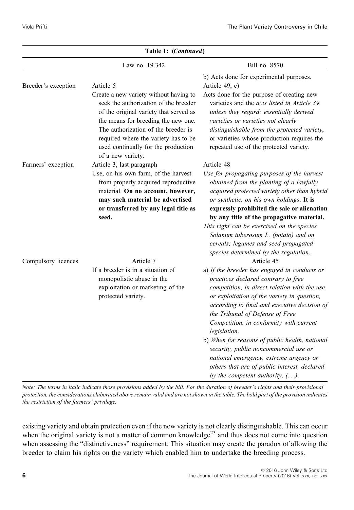|                     | Table 1: (Continued)                                                                                                                                                                                                                                                                                                     |                                                                                                                                                                                                                                                                                                                                                                                                                                                                                                                                                                                   |
|---------------------|--------------------------------------------------------------------------------------------------------------------------------------------------------------------------------------------------------------------------------------------------------------------------------------------------------------------------|-----------------------------------------------------------------------------------------------------------------------------------------------------------------------------------------------------------------------------------------------------------------------------------------------------------------------------------------------------------------------------------------------------------------------------------------------------------------------------------------------------------------------------------------------------------------------------------|
|                     | Law no. 19.342                                                                                                                                                                                                                                                                                                           | Bill no. 8570                                                                                                                                                                                                                                                                                                                                                                                                                                                                                                                                                                     |
| Breeder's exception | Article 5<br>Create a new variety without having to<br>seek the authorization of the breeder<br>of the original variety that served as<br>the means for breeding the new one.<br>The authorization of the breeder is<br>required where the variety has to be<br>used continually for the production<br>of a new variety. | b) Acts done for experimental purposes.<br>Article 49, c)<br>Acts done for the purpose of creating new<br>varieties and the <i>acts</i> listed in Article 39<br>unless they regard: essentially derived<br>varieties or varieties not clearly<br>distinguishable from the protected variety,<br>or varieties whose production requires the<br>repeated use of the protected variety.                                                                                                                                                                                              |
| Farmers' exception  | Article 3, last paragraph<br>Use, on his own farm, of the harvest<br>from properly acquired reproductive<br>material. On no account, however,<br>may such material be advertised<br>or transferred by any legal title as<br>seed.                                                                                        | Article 48<br>Use for propagating purposes of the harvest<br>obtained from the planting of a lawfully<br>acquired protected variety other than hybrid<br>or synthetic, on his own holdings. It is<br>expressly prohibited the sale or alienation<br>by any title of the propagative material.<br>This right can be exercised on the species<br>Solanum tuberosum L. (potato) and on<br>cereals; legumes and seed propagated<br>species determined by the regulation.                                                                                                              |
| Compulsory licences | Article 7<br>If a breeder is in a situation of<br>monopolistic abuse in the<br>exploitation or marketing of the<br>protected variety.                                                                                                                                                                                    | Article 45<br>a) If the breeder has engaged in conducts or<br>practices declared contrary to free<br>competition, in direct relation with the use<br>or exploitation of the variety in question,<br>according to final and executive decision of<br>the Tribunal of Defense of Free<br>Competition, in conformity with current<br>legislation.<br>b) When for reasons of public health, national<br>security, public noncommercial use or<br>national emergency, extreme urgency or<br>others that are of public interest, declared<br>by the competent authority, $( \ldots )$ . |

Note: The terms in italic indicate those provisions added by the bill. For the duration of breeder's rights and their provisional protection, the considerations elaborated above remain valid and are not shown in the table. The bold part of the provision indicates the restriction of the farmers' privilege.

existing variety and obtain protection even if the new variety is not clearly distinguishable. This can occur when the original variety is not a matter of common knowledge<sup>23</sup> and thus does not come into question when assessing the "distinctiveness" requirement. This situation may create the paradox of allowing the breeder to claim his rights on the variety which enabled him to undertake the breeding process.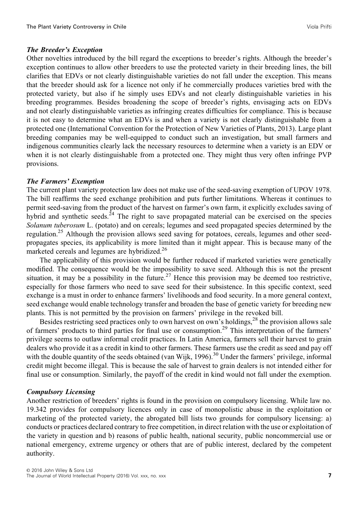#### The Breeder's Exception

Other novelties introduced by the bill regard the exceptions to breeder's rights. Although the breeder's exception continues to allow other breeders to use the protected variety in their breeding lines, the bill clarifies that EDVs or not clearly distinguishable varieties do not fall under the exception. This means that the breeder should ask for a licence not only if he commercially produces varieties bred with the protected variety, but also if he simply uses EDVs and not clearly distinguishable varieties in his breeding programmes. Besides broadening the scope of breeder's rights, envisaging acts on EDVs and not clearly distinguishable varieties as infringing creates difficulties for compliance. This is because it is not easy to determine what an EDVs is and when a variety is not clearly distinguishable from a protected one (International Convention for the Protection of New Varieties of Plants, 2013). Large plant breeding companies may be well-equipped to conduct such an investigation, but small farmers and indigenous communities clearly lack the necessary resources to determine when a variety is an EDV or when it is not clearly distinguishable from a protected one. They might thus very often infringe PVP provisions.

### The Farmers' Exemption

The current plant variety protection law does not make use of the seed-saving exemption of UPOV 1978. The bill reaffirms the seed exchange prohibition and puts further limitations. Whereas it continues to permit seed-saving from the product of the harvest on farmer's own farm, it explicitly excludes saving of hybrid and synthetic seeds.<sup>24</sup> The right to save propagated material can be exercised on the species Solanum tuberosum L. (potato) and on cereals; legumes and seed propagated species determined by the regulation.25 Although the provision allows seed saving for potatoes, cereals, legumes and other seedpropagates species, its applicability is more limited than it might appear. This is because many of the marketed cereals and legumes are hybridized.<sup>26</sup>

The applicability of this provision would be further reduced if marketed varieties were genetically modified. The consequence would be the impossibility to save seed. Although this is not the present situation, it may be a possibility in the future.<sup>27</sup> Hence this provision may be deemed too restrictive, especially for those farmers who need to save seed for their subsistence. In this specific context, seed exchange is a must in order to enhance farmers' livelihoods and food security. In a more general context, seed exchange would enable technology transfer and broaden the base of genetic variety for breeding new plants. This is not permitted by the provision on farmers' privilege in the revoked bill.

Besides restricting seed practices only to own harvest on own's holdings,<sup>28</sup> the provision allows sale of farmers' products to third parties for final use or consumption.<sup>29</sup> This interpretation of the farmers' privilege seems to outlaw informal credit practices. In Latin America, farmers sell their harvest to grain dealers who provide it as a credit in kind to other farmers. These farmers use the credit as seed and pay off with the double quantity of the seeds obtained (van Wijk, 1996).<sup>30</sup> Under the farmers' privilege, informal credit might become illegal. This is because the sale of harvest to grain dealers is not intended either for final use or consumption. Similarly, the payoff of the credit in kind would not fall under the exemption.

### Compulsory Licensing

Another restriction of breeders' rights is found in the provision on compulsory licensing. While law no. 19.342 provides for compulsory licences only in case of monopolistic abuse in the exploitation or marketing of the protected variety, the abrogated bill lists two grounds for compulsory licensing: a) conducts or practices declared contrary to free competition, in direct relation with the use or exploitation of the variety in question and b) reasons of public health, national security, public noncommercial use or national emergency, extreme urgency or others that are of public interest, declared by the competent authority.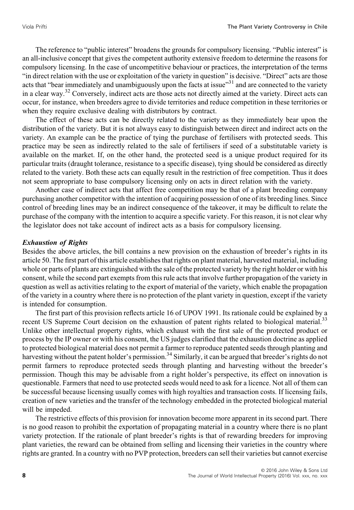The reference to "public interest" broadens the grounds for compulsory licensing. "Public interest" is an all-inclusive concept that gives the competent authority extensive freedom to determine the reasons for compulsory licensing. In the case of uncompetitive behaviour or practices, the interpretation of the terms "in direct relation with the use or exploitation of the variety in question" is decisive. "Direct" acts are those acts that "bear immediately and unambiguously upon the facts at issue"<sup>31</sup> and are connected to the variety in a clear way.<sup>32</sup> Conversely, indirect acts are those acts not directly aimed at the variety. Direct acts can occur, for instance, when breeders agree to divide territories and reduce competition in these territories or when they require exclusive dealing with distributors by contract.

The effect of these acts can be directly related to the variety as they immediately bear upon the distribution of the variety. But it is not always easy to distinguish between direct and indirect acts on the variety. An example can be the practice of tying the purchase of fertilisers with protected seeds. This practice may be seen as indirectly related to the sale of fertilisers if seed of a substitutable variety is available on the market. If, on the other hand, the protected seed is a unique product required for its particular traits (draught tolerance, resistance to a specific disease), tying should be considered as directly related to the variety. Both these acts can equally result in the restriction of free competition. Thus it does not seem appropriate to base compulsory licensing only on acts in direct relation with the variety.

Another case of indirect acts that affect free competition may be that of a plant breeding company purchasing another competitor with the intention of acquiring possession of one of its breeding lines. Since control of breeding lines may be an indirect consequence of the takeover, it may be difficult to relate the purchase of the company with the intention to acquire a specific variety. For this reason, it is not clear why the legislator does not take account of indirect acts as a basis for compulsory licensing.

#### Exhaustion of Rights

Besides the above articles, the bill contains a new provision on the exhaustion of breeder's rights in its article 50. The first part of this article establishes that rights on plant material, harvested material, including whole or parts of plants are extinguished with the sale of the protected variety by the right holder or with his consent, while the second part exempts from this rule acts that involve further propagation of the variety in question as well as activities relating to the export of material of the variety, which enable the propagation of the variety in a country where there is no protection of the plant variety in question, except if the variety is intended for consumption.

The first part of this provision reflects article 16 of UPOV 1991. Its rationale could be explained by a recent US Supreme Court decision on the exhaustion of patent rights related to biological material.<sup>33</sup> Unlike other intellectual property rights, which exhaust with the first sale of the protected product or process by the IP owner or with his consent, the US judges clarified that the exhaustion doctrine as applied to protected biological material does not permit a farmer to reproduce patented seeds through planting and harvesting without the patent holder's permission.<sup>34</sup> Similarly, it can be argued that breeder's rights do not permit farmers to reproduce protected seeds through planting and harvesting without the breeder's permission. Though this may be advisable from a right holder's perspective, its effect on innovation is questionable. Farmers that need to use protected seeds would need to ask for a licence. Not all of them can be successful because licensing usually comes with high royalties and transaction costs. If licensing fails, creation of new varieties and the transfer of the technology embedded in the protected biological material will be impeded.

The restrictive effects of this provision for innovation become more apparent in its second part. There is no good reason to prohibit the exportation of propagating material in a country where there is no plant variety protection. If the rationale of plant breeder's rights is that of rewarding breeders for improving plant varieties, the reward can be obtained from selling and licensing their varieties in the country where rights are granted. In a country with no PVP protection, breeders can sell their varieties but cannot exercise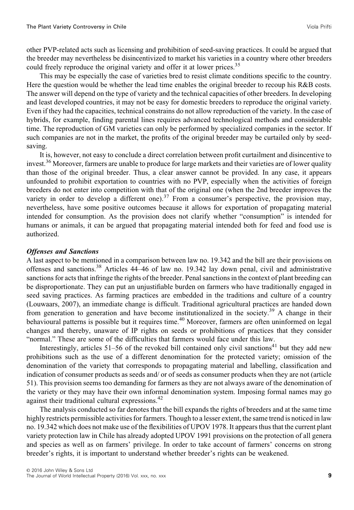other PVP-related acts such as licensing and prohibition of seed-saving practices. It could be argued that the breeder may nevertheless be disincentivized to market his varieties in a country where other breeders could freely reproduce the original variety and offer it at lower prices.<sup>35</sup>

This may be especially the case of varieties bred to resist climate conditions specific to the country. Here the question would be whether the lead time enables the original breeder to recoup his R&B costs. The answer will depend on the type of variety and the technical capacities of other breeders. In developing and least developed countries, it may not be easy for domestic breeders to reproduce the original variety. Even if they had the capacities, technical constrains do not allow reproduction of the variety. In the case of hybrids, for example, finding parental lines requires advanced technological methods and considerable time. The reproduction of GM varieties can only be performed by specialized companies in the sector. If such companies are not in the market, the profits of the original breeder may be curtailed only by seedsaving.

It is, however, not easy to conclude a direct correlation between profit curtailment and disincentive to invest.<sup>36</sup> Moreover, farmers are unable to produce for large markets and their varieties are of lower quality than those of the original breeder. Thus, a clear answer cannot be provided. In any case, it appears unfounded to prohibit exportation to countries with no PVP, especially when the activities of foreign breeders do not enter into competition with that of the original one (when the 2nd breeder improves the variety in order to develop a different one).<sup>37</sup> From a consumer's perspective, the provision may, nevertheless, have some positive outcomes because it allows for exportation of propagating material intended for consumption. As the provision does not clarify whether "consumption" is intended for humans or animals, it can be argued that propagating material intended both for feed and food use is authorized.

#### Offenses and Sanctions

A last aspect to be mentioned in a comparison between law no. 19.342 and the bill are their provisions on offenses and sanctions.<sup>38</sup> Articles 44–46 of law no. 19.342 lay down penal, civil and administrative sanctions for acts that infringe the rights of the breeder. Penal sanctions in the context of plant breeding can be disproportionate. They can put an unjustifiable burden on farmers who have traditionally engaged in seed saving practices. As farming practices are embedded in the traditions and culture of a country (Louwaars, 2007), an immediate change is difficult. Traditional agricultural practices are handed down from generation to generation and have become institutionalized in the society.<sup>39</sup> A change in their behavioural patterns is possible but it requires time.<sup>40</sup> Moreover, farmers are often uninformed on legal changes and thereby, unaware of IP rights on seeds or prohibitions of practices that they consider "normal." These are some of the difficulties that farmers would face under this law.

Interestingly, articles  $51-56$  of the revoked bill contained only civil sanctions<sup>41</sup> but they add new prohibitions such as the use of a different denomination for the protected variety; omission of the denomination of the variety that corresponds to propagating material and labelling, classification and indication of consumer products as seeds and/ or of seeds as consumer products when they are not (article 51). This provision seems too demanding for farmers as they are not always aware of the denomination of the variety or they may have their own informal denomination system. Imposing formal names may go against their traditional cultural expressions.<sup>42</sup>

The analysis conducted so far denotes that the bill expands the rights of breeders and at the same time highly restricts permissible activities for farmers. Though to a lesser extent, the same trend is noticed in law no. 19.342 which does not make use of the flexibilities of UPOV 1978. It appears thus that the current plant variety protection law in Chile has already adopted UPOV 1991 provisions on the protection of all genera and species as well as on farmers' privilege. In order to take account of farmers' concerns on strong breeder's rights, it is important to understand whether breeder's rights can be weakened.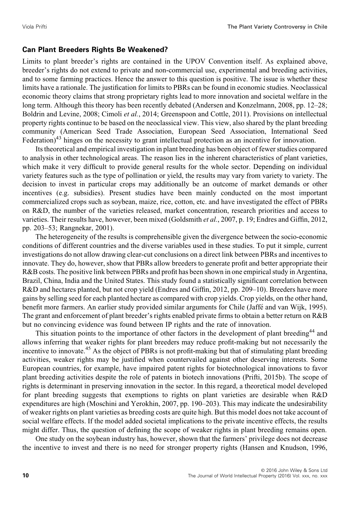### Can Plant Breeders Rights Be Weakened?

Limits to plant breeder's rights are contained in the UPOV Convention itself. As explained above, breeder's rights do not extend to private and non-commercial use, experimental and breeding activities, and to some farming practices. Hence the answer to this question is positive. The issue is whether these limits have a rationale. The justification for limits to PBRs can be found in economic studies. Neoclassical economic theory claims that strong proprietary rights lead to more innovation and societal welfare in the long term. Although this theory has been recently debated (Andersen and Konzelmann, 2008, pp. 12–28; Boldrin and Levine, 2008; Cimoli et al., 2014; Greenspoon and Cottle, 2011). Provisions on intellectual property rights continue to be based on the neoclassical view. This view, also shared by the plant breeding community (American Seed Trade Association, European Seed Association, International Seed Federation)<sup>43</sup> hinges on the necessity to grant intellectual protection as an incentive for innovation.

Its theoretical and empirical investigation in plant breeding has been object of fewer studies compared to analysis in other technological areas. The reason lies in the inherent characteristics of plant varieties, which make it very difficult to provide general results for the whole sector. Depending on individual variety features such as the type of pollination or yield, the results may vary from variety to variety. The decision to invest in particular crops may additionally be an outcome of market demands or other incentives (e.g. subsidies). Present studies have been mainly conducted on the most important commercialized crops such as soybean, maize, rice, cotton, etc. and have investigated the effect of PBRs on R&D, the number of the varieties released, market concentration, research priorities and access to varieties. Their results have, however, been mixed (Goldsmith et al., 2007, p. 19; Endres and Giffin, 2012, pp. 203–53; Rangnekar, 2001).

The heterogeneity of the results is comprehensible given the divergence between the socio-economic conditions of different countries and the diverse variables used in these studies. To put it simple, current investigations do not allow drawing clear-cut conclusions on a direct link between PBRs and incentives to innovate. They do, however, show that PBRs allow breeders to generate profit and better appropriate their R&B costs. The positive link between PBRs and profit has been shown in one empirical study in Argentina, Brazil, China, India and the United States. This study found a statistically significant correlation between R&D and hectares planted, but not crop yield (Endres and Giffin, 2012, pp. 209–10). Breeders have more gains by selling seed for each planted hectare as compared with crop yields. Crop yields, on the other hand, benefit more farmers. An earlier study provided similar arguments for Chile (Jaffé and van Wijk, 1995). The grant and enforcement of plant breeder's rights enabled private firms to obtain a better return on R&B but no convincing evidence was found between IP rights and the rate of innovation.

This situation points to the importance of other factors in the development of plant breeding<sup>44</sup> and allows inferring that weaker rights for plant breeders may reduce profit-making but not necessarily the incentive to innovate.<sup>45</sup> As the object of PBRs is not profit-making but that of stimulating plant breeding activities, weaker rights may be justified when countervailed against other deserving interests. Some European countries, for example, have impaired patent rights for biotechnological innovations to favor plant breeding activities despite the role of patents in biotech innovations (Prifti, 2015b). The scope of rights is determinant in preserving innovation in the sector. In this regard, a theoretical model developed for plant breeding suggests that exemptions to rights on plant varieties are desirable when R&D expenditures are high (Moschini and Yerokhin, 2007, pp. 190–203). This may indicate the undesirability of weaker rights on plant varieties as breeding costs are quite high. But this model does not take account of social welfare effects. If the model added societal implications to the private incentive effects, the results might differ. Thus, the question of defining the scope of weaker rights in plant breeding remains open.

One study on the soybean industry has, however, shown that the farmers' privilege does not decrease the incentive to invest and there is no need for stronger property rights (Hansen and Knudson, 1996,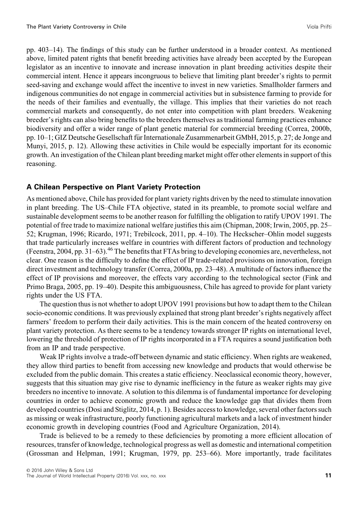pp. 403–14). The findings of this study can be further understood in a broader context. As mentioned above, limited patent rights that benefit breeding activities have already been accepted by the European legislator as an incentive to innovate and increase innovation in plant breeding activities despite their commercial intent. Hence it appears incongruous to believe that limiting plant breeder's rights to permit seed-saving and exchange would affect the incentive to invest in new varieties. Smallholder farmers and indigenous communities do not engage in commercial activities but in subsistence farming to provide for the needs of their families and eventually, the village. This implies that their varieties do not reach commercial markets and consequently, do not enter into competition with plant breeders. Weakening breeder's rights can also bring benefits to the breeders themselves as traditional farming practices enhance biodiversity and offer a wider range of plant genetic material for commercial breeding (Correa, 2000b, pp. 10–1; GIZ Deutsche Gesellschaft für Internationale Zusammenarbeit GMbH, 2015, p. 27; de Jonge and Munyi, 2015, p. 12). Allowing these activities in Chile would be especially important for its economic growth. An investigation of the Chilean plant breeding market might offer other elements in support of this reasoning.

# A Chilean Perspective on Plant Variety Protection

As mentioned above, Chile has provided for plant variety rights driven by the need to stimulate innovation in plant breeding. The US–Chile FTA objective, stated in its preamble, to promote social welfare and sustainable development seems to be another reason for fulfilling the obligation to ratify UPOV 1991. The potential of free trade to maximize national welfare justifies this aim (Chipman, 2008; Irwin, 2005, pp. 25– 52; Krugman, 1996; Ricardo, 1971; Trebilcock, 2011, pp. 4–10). The Heckscher–Ohlin model suggests that trade particularly increases welfare in countries with different factors of production and technology (Feenstra, 2004, pp. 31–63).<sup>46</sup> The benefits that FTAs bring to developing economies are, nevertheless, not clear. One reason is the difficulty to define the effect of IP trade-related provisions on innovation, foreign direct investment and technology transfer (Correa, 2000a, pp. 23–48). A multitude of factors influence the effect of IP provisions and moreover, the effects vary according to the technological sector (Fink and Primo Braga, 2005, pp. 19–40). Despite this ambiguousness, Chile has agreed to provide for plant variety rights under the US FTA.

The question thus is not whether to adopt UPOV 1991 provisions but how to adapt them to the Chilean socio-economic conditions. It was previously explained that strong plant breeder's rights negatively affect farmers' freedom to perform their daily activities. This is the main concern of the heated controversy on plant variety protection. As there seems to be a tendency towards stronger IP rights on international level, lowering the threshold of protection of IP rights incorporated in a FTA requires a sound justification both from an IP and trade perspective.

Weak IP rights involve a trade-off between dynamic and static efficiency. When rights are weakened, they allow third parties to benefit from accessing new knowledge and products that would otherwise be excluded from the public domain. This creates a static efficiency. Neoclassical economic theory, however, suggests that this situation may give rise to dynamic inefficiency in the future as weaker rights may give breeders no incentive to innovate. A solution to this dilemma is of fundamental importance for developing countries in order to achieve economic growth and reduce the knowledge gap that divides them from developed countries (Dosi and Stiglitz, 2014, p. 1). Besides access to knowledge, several other factors such as missing or weak infrastructure, poorly functioning agricultural markets and a lack of investment hinder economic growth in developing countries (Food and Agriculture Organization, 2014).

Trade is believed to be a remedy to these deficiencies by promoting a more efficient allocation of resources, transfer of knowledge, technological progress as well as domestic and international competition (Grossman and Helpman, 1991; Krugman, 1979, pp. 253–66). More importantly, trade facilitates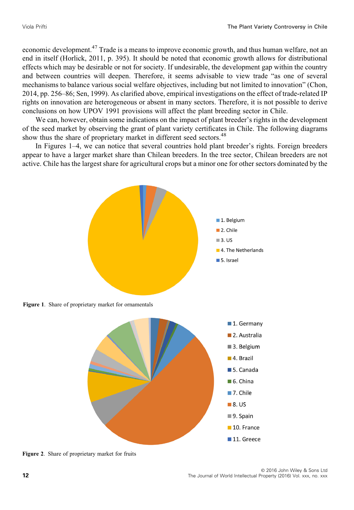economic development.<sup>47</sup> Trade is a means to improve economic growth, and thus human welfare, not an end in itself (Horlick, 2011, p. 395). It should be noted that economic growth allows for distributional effects which may be desirable or not for society. If undesirable, the development gap within the country and between countries will deepen. Therefore, it seems advisable to view trade "as one of several mechanisms to balance various social welfare objectives, including but not limited to innovation" (Chon, 2014, pp. 256–86; Sen, 1999). As clarified above, empirical investigations on the effect of trade-related IP rights on innovation are heterogeneous or absent in many sectors. Therefore, it is not possible to derive conclusions on how UPOV 1991 provisions will affect the plant breeding sector in Chile.

We can, however, obtain some indications on the impact of plant breeder's rights in the development of the seed market by observing the grant of plant variety certificates in Chile. The following diagrams show thus the share of proprietary market in different seed sectors.<sup>48</sup>

In Figures 1–4, we can notice that several countries hold plant breeder's rights. Foreign breeders appear to have a larger market share than Chilean breeders. In the tree sector, Chilean breeders are not active. Chile has the largest share for agricultural crops but a minor one for other sectors dominated by the



Figure 1. Share of proprietary market for ornamentals



Figure 2. Share of proprietary market for fruits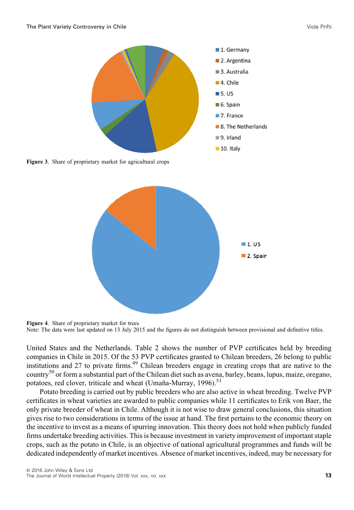

Figure 3. Share of proprietary market for agricultural crops





United States and the Netherlands. Table 2 shows the number of PVP certificates held by breeding companies in Chile in 2015. Of the 53 PVP certificates granted to Chilean breeders, 26 belong to public institutions and 27 to private firms.<sup>49</sup> Chilean breeders engage in creating crops that are native to the country<sup>50</sup> or form a substantial part of the Chilean diet such as avena, barley, beans, lupus, maize, oregano, potatoes, red clover, triticale and wheat (Umaña-Murray, 1996). $51$ 

Potato breeding is carried out by public breeders who are also active in wheat breeding. Twelve PVP certificates in wheat varieties are awarded to public companies while 11 certificates to Erik von Baer, the only private breeder of wheat in Chile. Although it is not wise to draw general conclusions, this situation gives rise to two considerations in terms of the issue at hand. The first pertains to the economic theory on the incentive to invest as a means of spurring innovation. This theory does not hold when publicly funded firms undertake breeding activities. This is because investment in variety improvement of important staple crops, such as the potato in Chile, is an objective of national agricultural programmes and funds will be dedicated independently of market incentives. Absence of market incentives, indeed, may be necessary for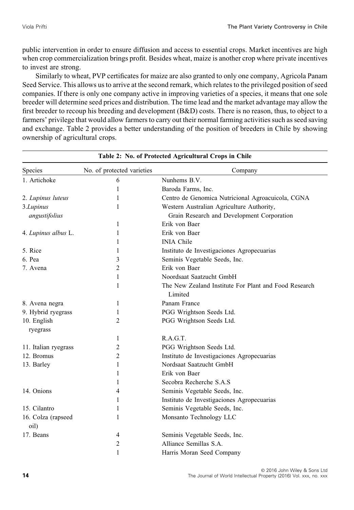public intervention in order to ensure diffusion and access to essential crops. Market incentives are high when crop commercialization brings profit. Besides wheat, maize is another crop where private incentives to invest are strong.

Similarly to wheat, PVP certificates for maize are also granted to only one company, Agricola Panam Seed Service. This allows us to arrive at the second remark, which relates to the privileged position of seed companies. If there is only one company active in improving varieties of a species, it means that one sole breeder will determine seed prices and distribution. The time lead and the market advantage may allow the first breeder to recoup his breeding and development (B&D) costs. There is no reason, thus, to object to a farmers' privilege that would allow farmers to carry out their normal farming activities such as seed saving and exchange. Table 2 provides a better understanding of the position of breeders in Chile by showing ownership of agricultural crops.

| Species              | No. of protected varieties | Company                                               |
|----------------------|----------------------------|-------------------------------------------------------|
| 1. Artichoke         | 6                          | Nunhems B.V.                                          |
|                      | 1                          | Baroda Farms, Inc.                                    |
| 2. Lupinus luteus    | 1                          | Centro de Genomica Nutricional Agroacuicola, CGNA     |
| 3.Lupinus            | 1                          | Western Australian Agriculture Authority,             |
| angustifolius        |                            | Grain Research and Development Corporation            |
|                      | 1                          | Erik von Baer                                         |
| 4. Lupinus albus L.  | 1                          | Erik von Baer                                         |
|                      | 1                          | <b>INIA Chile</b>                                     |
| 5. Rice              | 1                          | Instituto de Investigaciones Agropecuarias            |
| 6. Pea               | 3                          | Seminis Vegetable Seeds, Inc.                         |
| 7. Avena             | 2                          | Erik von Baer                                         |
|                      | 1                          | Noordsaat Saatzucht GmbH                              |
|                      | 1                          | The New Zealand Institute For Plant and Food Research |
|                      |                            | Limited                                               |
| 8. Avena negra       | 1                          | Panam France                                          |
| 9. Hybrid ryegrass   | 1                          | PGG Wrightson Seeds Ltd.                              |
| 10. English          | 2                          | PGG Wrightson Seeds Ltd.                              |
| ryegrass             |                            |                                                       |
|                      | 1                          | R.A.G.T.                                              |
| 11. Italian ryegrass | 2                          | PGG Wrightson Seeds Ltd.                              |
| 12. Bromus           | 2                          | Instituto de Investigaciones Agropecuarias            |
| 13. Barley           | 1                          | Nordsaat Saatzucht GmbH                               |
|                      | 1                          | Erik von Baer                                         |
|                      | 1                          | Secobra Recherche S.A.S                               |
| 14. Onions           | 4                          | Seminis Vegetable Seeds, Inc.                         |
|                      | 1                          | Instituto de Investigaciones Agropecuarias            |
| 15. Cilantro         | 1                          | Seminis Vegetable Seeds, Inc.                         |
| 16. Colza (rapseed   | 1                          | Monsanto Technology LLC                               |
| oil)                 |                            |                                                       |
| 17. Beans            | $\overline{4}$             | Seminis Vegetable Seeds, Inc.                         |
|                      | 2                          | Alliance Semillas S.A.                                |
|                      | 1                          | Harris Moran Seed Company                             |

# Table 2: No. of Protected Agricultural Crops in Chile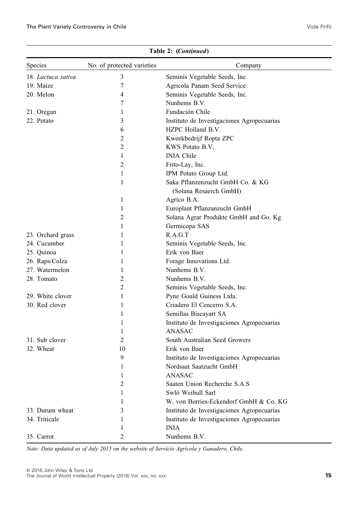|                    |                            | Table 2: (Continued)                       |
|--------------------|----------------------------|--------------------------------------------|
| Species            | No. of protected varieties | Company                                    |
| 18. Lactuca sativa | 3                          | Seminis Vegetable Seeds, Inc.              |
| 19. Maize          | 7                          | Agricola Panam Seed Service                |
| 20. Melon          | 4                          | Seminis Vegetable Seeds, Inc.              |
|                    | 7                          | Nunhems B.V.                               |
| 21. Oregan         | $\mathbf{1}$               | Fundación Chile                            |
| 22. Potato         | 3                          | Instituto de Investigaciones Agropecuarias |
|                    | 6                          | HZPC Holland B.V.                          |
|                    | 2                          | Kweekbedrijf Ropta ZPC                     |
|                    | 2                          | KWS Potato B.V.                            |
|                    | $\mathbf{1}$               | <b>INIA</b> Chile                          |
|                    | $\overline{2}$             | Frito-Lay, Inc.                            |
|                    | $\mathbf{1}$               | IPM Potato Group Ltd.                      |
|                    | $\mathbf{1}$               | Saka Pflanzenzucht GmbH Co. & KG           |
|                    |                            | (Solana Resaerch GmbH)                     |
|                    | $\mathbf{1}$               | Agrico B.A.                                |
|                    | $\mathbf{1}$               | Europlant Pflanzanzucht GmbH               |
|                    | 2                          | Solana Agrar Produkte GmbH and Go. Kg      |
|                    | $\mathbf{1}$               | Germicopa SAS                              |
| 23. Orchard grass  | 1                          | R.A.G.T                                    |
| 24. Cucumber       | 1                          | Seminis Vegetable Seeds, Inc.              |
| 25. Quinoa         | $\mathbf{1}$               | Erik von Baer                              |
| 26. Raps/Colza     | 1                          | Forage Innovations Ltd.                    |
| 27. Watermelon     | 1                          | Nunhems B.V.                               |
| 28. Tomato         | 2                          | Nunhems B.V.                               |
|                    | 2                          | Seminis Vegetable Seeds, Inc.              |
| 29. White clover   | $\mathbf{1}$               | Pyne Gould Guiness Ltda.                   |
| 30. Red clover     | $\mathbf{1}$               | Criadero El Cencerro S.A.                  |
|                    | $\mathbf{1}$               | Semillas Biscayart SA                      |
|                    | $\mathbf{1}$               | Instituto de Investigaciones Agropecuarias |
|                    | $\mathbf{1}$               | <b>ANASAC</b>                              |
| 31. Sub clover     | 2                          | South Australian Seed Growers              |
| 32. Wheat          | 10                         | Erik von Baer                              |
|                    | 9                          | Instituto de Investigaciones Agropecuarias |
|                    | $\mathbf{1}$               | Nordsaat Saatzucht GmbH                    |
|                    | 1                          | ANASAC                                     |
|                    | 2                          | Saaten Union Recherche S.A.S               |
|                    | 1                          | Swlö Weibull Sarl                          |
|                    | 1                          | W. von Borries-Eckendorf GmbH & Co. KG     |
| 33. Durum wheat    | 3                          | Instituto de Investigaciones Agropecuarias |
| 34. Triticale      | 1                          | Instituto de Investigaciones Agropecuarias |
|                    | 1                          | <b>INIA</b>                                |
| 35. Carrot         | 2                          | Nunhems B.V.                               |

Table ?: (Continued)

Note: Data updated as of July 2015 on the website of Servicio Agrícola y Ganadero, Chile.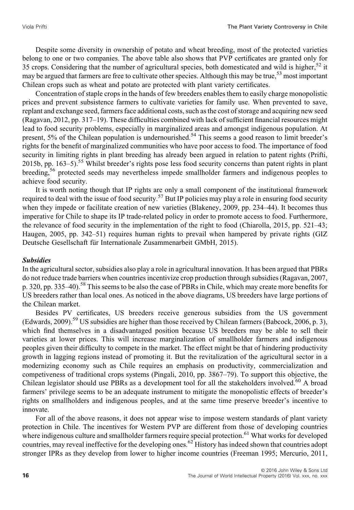Despite some diversity in ownership of potato and wheat breeding, most of the protected varieties belong to one or two companies. The above table also shows that PVP certificates are granted only for 35 crops. Considering that the number of agricultural species, both domesticated and wild is higher,<sup>52</sup> it may be argued that farmers are free to cultivate other species. Although this may be true,<sup>53</sup> most important Chilean crops such as wheat and potato are protected with plant variety certificates.

Concentration of staple crops in the hands of few breeders enables them to easily charge monopolistic prices and prevent subsistence farmers to cultivate varieties for family use. When prevented to save, replant and exchange seed, farmers face additional costs, such as the cost of storage and acquiring new seed (Ragavan, 2012, pp. 317–19). These difficulties combined with lack of sufficient financial resources might lead to food security problems, especially in marginalized areas and amongst indigenous population. At present, 5% of the Chilean population is undernourished.<sup>54</sup> This seems a good reason to limit breeder's rights for the benefit of marginalized communities who have poor access to food. The importance of food security in limiting rights in plant breeding has already been argued in relation to patent rights (Prifti, 2015b, pp.  $163-5$ ).<sup>55</sup> Whilst breeder's rights pose less food security concerns than patent rights in plant breeding,<sup>56</sup> protected seeds may nevertheless impede smallholder farmers and indigenous peoples to achieve food security.

It is worth noting though that IP rights are only a small component of the institutional framework required to deal with the issue of food security.<sup>57</sup> But IP policies may play a role in ensuring food security when they impede or facilitate creation of new varieties (Blakeney, 2009, pp. 234–44). It becomes thus imperative for Chile to shape its IP trade-related policy in order to promote access to food. Furthermore, the relevance of food security in the implementation of the right to food (Chiarolla, 2015, pp. 521–43; Haugen, 2005, pp. 342–51) requires human rights to prevail when hampered by private rights (GIZ Deutsche Gesellschaft für Internationale Zusammenarbeit GMbH, 2015).

#### Subsidies

In the agricultural sector, subsidies also play a role in agricultural innovation. It has been argued that PBRs do not reduce trade barriers when countries incentivize crop production through subsidies (Ragavan, 2007, p. 320, pp. 335–40).<sup>58</sup> This seems to be also the case of PBRs in Chile, which may create more benefits for US breeders rather than local ones. As noticed in the above diagrams, US breeders have large portions of the Chilean market.

Besides PV certificates, US breeders receive generous subsidies from the US government (Edwards, 2009).<sup>59</sup> US subsidies are higher than those received by Chilean farmers (Babcock, 2006, p. 3), which find themselves in a disadvantaged position because US breeders may be able to sell their varieties at lower prices. This will increase marginalization of smallholder farmers and indigenous peoples given their difficulty to compete in the market. The effect might be that of hindering productivity growth in lagging regions instead of promoting it. But the revitalization of the agricultural sector in a modernizing economy such as Chile requires an emphasis on productivity, commercialization and competiveness of traditional crops systems (Pingali, 2010, pp. 3867–79). To support this objective, the Chilean legislator should use PBRs as a development tool for all the stakeholders involved.<sup>60</sup> A broad farmers' privilege seems to be an adequate instrument to mitigate the monopolistic effects of breeder's rights on smallholders and indigenous peoples, and at the same time preserve breeder's incentive to innovate.

For all of the above reasons, it does not appear wise to impose western standards of plant variety protection in Chile. The incentives for Western PVP are different from those of developing countries where indigenous culture and smallholder farmers require special protection.<sup>61</sup> What works for developed countries, may reveal ineffective for the developing ones.<sup>62</sup> History has indeed shown that countries adopt stronger IPRs as they develop from lower to higher income countries (Freeman 1995; Mercurio, 2011,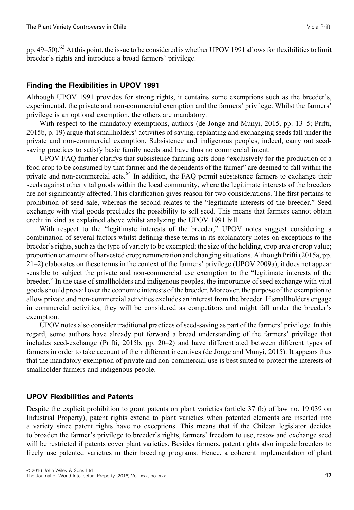pp.  $49-50$ ).<sup>63</sup> At this point, the issue to be considered is whether UPOV 1991 allows for flexibilities to limit breeder's rights and introduce a broad farmers' privilege.

# Finding the Flexibilities in UPOV 1991

Although UPOV 1991 provides for strong rights, it contains some exemptions such as the breeder's, experimental, the private and non-commercial exemption and the farmers' privilege. Whilst the farmers' privilege is an optional exemption, the others are mandatory.

With respect to the mandatory exemptions, authors (de Jonge and Munyi, 2015, pp. 13–5; Prifti, 2015b, p. 19) argue that smallholders' activities of saving, replanting and exchanging seeds fall under the private and non-commercial exemption. Subsistence and indigenous peoples, indeed, carry out seedsaving practices to satisfy basic family needs and have thus no commercial intent.

UPOV FAQ further clarifys that subsistence farming acts done "exclusively for the production of a food crop to be consumed by that farmer and the dependents of the farmer" are deemed to fall within the private and non-commercial acts.<sup>64</sup> In addition, the FAQ permit subsistence farmers to exchange their seeds against other vital goods within the local community, where the legitimate interests of the breeders are not significantly affected. This clarification gives reason for two considerations. The first pertains to prohibition of seed sale, whereas the second relates to the "legitimate interests of the breeder." Seed exchange with vital goods precludes the possibility to sell seed. This means that farmers cannot obtain credit in kind as explained above whilst analyzing the UPOV 1991 bill.

With respect to the "legitimate interests of the breeder," UPOV notes suggest considering a combination of several factors whilst defining these terms in its explanatory notes on exceptions to the breeder's rights, such as the type of variety to be exempted; the size of the holding, crop area or crop value; proportion or amount of harvested crop; remuneration and changing situations. Although Prifti (2015a, pp. 21–2) elaborates on these terms in the context of the farmers' privilege (UPOV 2009a), it does not appear sensible to subject the private and non-commercial use exemption to the "legitimate interests of the breeder." In the case of smallholders and indigenous peoples, the importance of seed exchange with vital goods should prevail over the economic interests of the breeder. Moreover, the purpose of the exemption to allow private and non-commercial activities excludes an interest from the breeder. If smallholders engage in commercial activities, they will be considered as competitors and might fall under the breeder's exemption.

UPOV notes also consider traditional practices of seed-saving as part of the farmers' privilege. In this regard, some authors have already put forward a broad understanding of the farmers' privilege that includes seed-exchange (Prifti, 2015b, pp. 20–2) and have differentiated between different types of farmers in order to take account of their different incentives (de Jonge and Munyi, 2015). It appears thus that the mandatory exemption of private and non-commercial use is best suited to protect the interests of smallholder farmers and indigenous people.

# UPOV Flexibilities and Patents

Despite the explicit prohibition to grant patents on plant varieties (article 37 (b) of law no. 19.039 on Industrial Property), patent rights extend to plant varieties when patented elements are inserted into a variety since patent rights have no exceptions. This means that if the Chilean legislator decides to broaden the farmer's privilege to breeder's rights, farmers' freedom to use, resow and exchange seed will be restricted if patents cover plant varieties. Besides farmers, patent rights also impede breeders to freely use patented varieties in their breeding programs. Hence, a coherent implementation of plant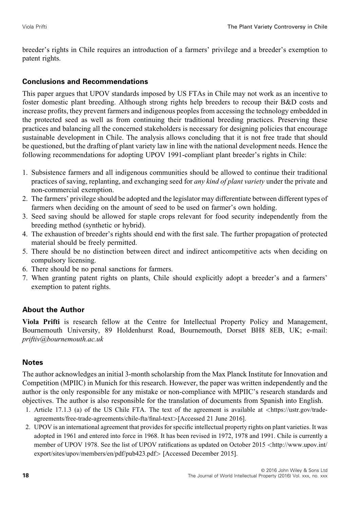breeder's rights in Chile requires an introduction of a farmers' privilege and a breeder's exemption to patent rights.

# Conclusions and Recommendations

This paper argues that UPOV standards imposed by US FTAs in Chile may not work as an incentive to foster domestic plant breeding. Although strong rights help breeders to recoup their B&D costs and increase profits, they prevent farmers and indigenous peoples from accessing the technology embedded in the protected seed as well as from continuing their traditional breeding practices. Preserving these practices and balancing all the concerned stakeholders is necessary for designing policies that encourage sustainable development in Chile. The analysis allows concluding that it is not free trade that should be questioned, but the drafting of plant variety law in line with the national development needs. Hence the following recommendations for adopting UPOV 1991-compliant plant breeder's rights in Chile:

- 1. Subsistence farmers and all indigenous communities should be allowed to continue their traditional practices of saving, replanting, and exchanging seed for *any kind of plant variety* under the private and non-commercial exemption.
- 2. The farmers' privilege should be adopted and the legislator may differentiate between different types of farmers when deciding on the amount of seed to be used on farmer's own holding.
- 3. Seed saving should be allowed for staple crops relevant for food security independently from the breeding method (synthetic or hybrid).
- 4. The exhaustion of breeder's rights should end with the first sale. The further propagation of protected material should be freely permitted.
- 5. There should be no distinction between direct and indirect anticompetitive acts when deciding on compulsory licensing.
- 6. There should be no penal sanctions for farmers.
- 7. When granting patent rights on plants, Chile should explicitly adopt a breeder's and a farmers' exemption to patent rights.

# About the Author

Viola Prifti is research fellow at the Centre for Intellectual Property Policy and Management, Bournemouth University, 89 Holdenhurst Road, Bournemouth, Dorset BH8 8EB, UK; e-mail: priftiv@bournemouth.ac.uk

# Notes

The author acknowledges an initial 3-month scholarship from the Max Planck Institute for Innovation and Competition (MPIIC) in Munich for this research. However, the paper was written independently and the author is the only responsible for any mistake or non-compliance with MPIIC's research standards and objectives. The author is also responsible for the translation of documents from Spanish into English.

- 1. Article 17.1.3 (a) of the US Chile FTA. The text of the agreement is available at <[https://ustr.gov/trade](https://ustr.gov/trade-agreements/free-trade-agreements/chile-fta/final-text)[agreements/free-trade-agreements/chile-fta/](https://ustr.gov/trade-agreements/free-trade-agreements/chile-fta/final-text)final-text>[Accessed 21 June 2016].
- 2. UPOV is an international agreement that provides for specific intellectual property rights on plant varieties. It was adopted in 1961 and entered into force in 1968. It has been revised in 1972, 1978 and 1991. Chile is currently a member of UPOV 1978. See the list of UPOV ratifications as updated on October 2015 <[http://www.upov.int/](http://www.upov.int/export/sites/upov/members/en/pdf/pub423.pdf) [export/sites/upov/members/en/pdf/pub423.pdf](http://www.upov.int/export/sites/upov/members/en/pdf/pub423.pdf)> [Accessed December 2015].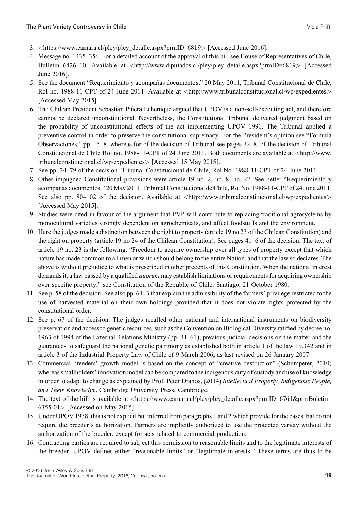- 3. <[https://www.camara.cl/pley/pley\\_detalle.aspx?prmID=6819](https://www.camara.cl/pley/pley_detalle.aspx?prmID=6819)> [Accessed June 2016].
- 4. Message no. 1435–356. For a detailed account of the approval of this bill see House of Representatives of Chile, Bulletin 6426–10. Available at <[http://www.diputados.cl/pley/pley\\_detalle.aspx?prmID=6819](http://www.diputados.cl/pley/pley_detalle.aspx?prmID=6819)> [Accessed June 2016].
- 5. See the document "Requerimiento y acompañas documentos," 20 May 2011, Tribunal Constitucional de Chile, Rol no. 1988-11-CPT of 24 June 2011. Available at <<http://www.tribunalconstitucional.cl/wp/expedientes>> [Accessed May 2015].
- 6. The Chilean President Sebastian Piñera Echenique argued that UPOV is a non-self-executing act, and therefore cannot be declared unconstitutional. Nevertheless, the Constitutional Tribunal delivered judgment based on the probability of unconstitutional effects of the act implementing UPOV 1991. The Tribunal applied a preventive control in order to preserve the constitutional supremacy. For the President's opinion see "Formula Observaciones," pp. 15–8, whereas for of the decision of Tribunal see pages 32–8, of the decision of Tribunal Constitucional de Chile Rol no. 1988-11-CPT of 24 June 2011. Both documents are available at  $\lt$ [http://www.](http://www.tribunalconstitucional.cl/wp/expedientes) [tribunalconstitucional.cl/wp/expedientes](http://www.tribunalconstitucional.cl/wp/expedientes)> [Accessed 15 May 2015].
- 7. See pp. 24–79 of the decision. Tribunal Constitucional de Chile, Rol No. 1988-11-CPT of 24 June 2011.
- 8. Other impugned Constitutional provisions were article 19 no. 2, no. 8, no. 22. See better "Requerimiento y acompañas documentos," 20 May 2011, Tribunal Constitucional de Chile, Rol No. 1988-11-CPT of 24 June 2011. See also pp. 80–102 of the decision. Available at <<http://www.tribunalconstitucional.cl/wp/expedientes>> [Accessed May 2015].
- 9. Studies were cited in favour of the argument that PVP will contribute to replacing traditional agrosystems by monocultural varieties strongly dependent on agrochemicals, and affect foodstuffs and the environment.
- 10. Here the judges made a distinction between the right to property (article 19 no 23 of the Chilean Constitution) and the right on property (article 19 no 24 of the Chilean Constitution). See pages 41–6 of the decision. The text of article 19 no. 23 is the following: "Freedom to acquire ownership over all types of property except that which nature has made common to all men or which should belong to the entire Nation, and that the law so declares. The above is without prejudice to what is prescribed in other precepts of this Constitution. When the national interest demands it, a law passed by a qualified *quorum* may establish limitations or requirements for acquiring ownership over specific property;" see Constitution of the Republic of Chile, Santiago, 21 October 1980.
- 11. See p. 58 of the decision. See also pp. 61–3 that explain the admissibility of the farmers' privilege restricted to the use of harvested material on their own holdings provided that it does not violate rights protected by the constitutional order.
- 12. See p. 67 of the decision. The judges recalled other national and international instruments on biodiversity preservation and access to genetic resources, such as the Convention on Biological Diversity ratified by decree no. 1963 of 1994 of the External Relations Ministry (pp. 41–61), previous judicial decisions on the matter and the guarantees to safeguard the national genetic patrimony as established both in article 1 of the law 19.342 and in article 3 of the Industrial Property Law of Chile of 9 March 2006, as last revised on 26 January 2007.
- 13. Commercial breeders' growth model is based on the concept of "creative destruction" (Schumpeter, 2010) whereas smallholders' innovation model can be compared to the indigenous duty of custody and use of knowledge in order to adapt to change as explained by Prof. Peter Drahos, (2014) Intellectual Property, Indigenous People, and Their Knowledge, Cambridge University Press, Cambridge.
- 14. The text of the bill is available at <[https://www.camara.cl/pley/pley\\_detalle.aspx?prmID=6761&prmBoletin=](https://www.camara.cl/pley/pley_detalle.aspx?prmID=6761&x0026;prmBoletin=6355-01) [6355-01](https://www.camara.cl/pley/pley_detalle.aspx?prmID=6761&x0026;prmBoletin=6355-01)> [Accessed on May 2015].
- 15. Under UPOV 1978, this is not explicit but inferred from paragraphs 1 and 2 which provide for the cases that do not require the breeder's authorization. Farmers are implicitly authorized to use the protected variety without the authorization of the breeder, except for acts related to commercial production.
- 16. Contracting parties are required to subject this permission to reasonable limits and to the legitimate interests of the breeder. UPOV defines either "reasonable limits" or "legitimate interests." These terms are thus to be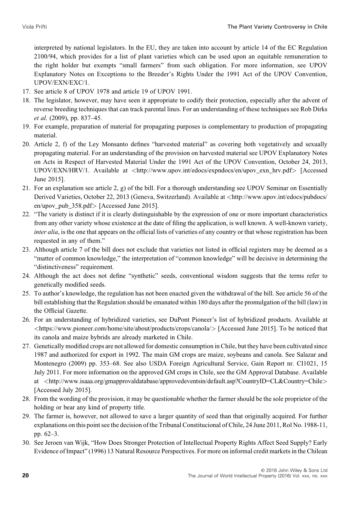interpreted by national legislators. In the EU, they are taken into account by article 14 of the EC Regulation 2100/94, which provides for a list of plant varieties which can be used upon an equitable remuneration to the right holder but exempts "small farmers" from such obligation. For more information, see UPOV Explanatory Notes on Exceptions to the Breeder's Rights Under the 1991 Act of the UPOV Convention, UPOV/EXN/EXC/1.

- 17. See article 8 of UPOV 1978 and article 19 of UPOV 1991.
- 18. The legislator, however, may have seen it appropriate to codify their protection, especially after the advent of reverse breeding techniques that can track parental lines. For an understanding of these techniques see Rob Dirks et al. (2009), pp. 837–45.
- 19. For example, preparation of material for propagating purposes is complementary to production of propagating material.
- 20. Article 2, f) of the Ley Monsanto defines "harvested material" as covering both vegetatively and sexually propagating material. For an understanding of the provision on harvested material see UPOV Explanatory Notes on Acts in Respect of Harvested Material Under the 1991 Act of the UPOV Convention, October 24, 2013, UPOV/EXN/HRV/1. Available at <[http://www.upov.int/edocs/expndocs/en/upov\\_exn\\_hrv.pdf](http://www.upov.int/edocs/expndocs/en/upov_exn_hrv.pdf)> [Accessed] June 2015].
- 21. For an explanation see article 2, g) of the bill. For a thorough understanding see UPOV Seminar on Essentially Derived Varieties, October 22, 2013 (Geneva, Switzerland). Available at <[http://www.upov.int/edocs/pubdocs/](http://www.upov.int/edocs/pubdocs/en/upov_pub_358.pdf) [en/upov\\_pub\\_358.pdf](http://www.upov.int/edocs/pubdocs/en/upov_pub_358.pdf)> [Accessed June 2015].
- 22. "The variety is distinct if it is clearly distinguishable by the expression of one or more important characteristics from any other variety whose existence at the date of filing the application, is well known. A well-known variety, inter alia, is the one that appears on the official lists of varieties of any country or that whose registration has been requested in any of them."
- 23. Although article 7 of the bill does not exclude that varieties not listed in official registers may be deemed as a "matter of common knowledge," the interpretation of "common knowledge" will be decisive in determining the "distinctiveness" requirement.
- 24. Although the act does not define "synthetic" seeds, conventional wisdom suggests that the terms refer to genetically modified seeds.
- 25. To author's knowledge, the regulation has not been enacted given the withdrawal of the bill. See article 56 of the bill establishing that the Regulation should be emanated within 180 days after the promulgation of the bill (law) in the Official Gazette.
- 26. For an understanding of hybridized varieties, see DuPont Pioneer's list of hybridized products. Available at <<https://www.pioneer.com/home/site/about/products/crops/canola/>> [Accessed June 2015]. To be noticed that its canola and maize hybrids are already marketed in Chile.
- 27. Genetically modified crops are not allowed for domestic consumption in Chile, but they have been cultivated since 1987 and authorized for export in 1992. The main GM crops are maize, soybeans and canola. See Salazar and Montenegro (2009) pp. 353–68. See also USDA Foreign Agricultural Service, Gain Report nr. CI1021, 15 July 2011. For more information on the approved GM crops in Chile, see the GM Approval Database. Available at <<http://www.isaaa.org/gmapprovaldatabase/approvedeventsin/default.asp?CountryID=CL&Country=Chile>> [Accessed July 2015].
- 28. From the wording of the provision, it may be questionable whether the farmer should be the sole proprietor of the holding or bear any kind of property title.
- 29. The farmer is, however, not allowed to save a larger quantity of seed than that originally acquired. For further explanations on this point see the decision of the Tribunal Constitucional of Chile, 24 June 2011, Rol No. 1988-11, pp. 62–3.
- 30. See Jeroen van Wijk, "How Does Stronger Protection of Intellectual Property Rights Affect Seed Supply? Early Evidence of Impact" (1996) 13 Natural Resource Perspectives. For more on informal credit markets in the Chilean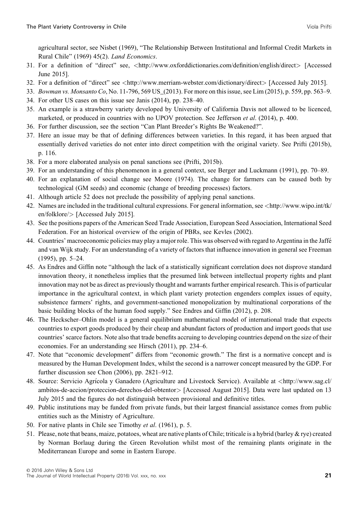agricultural sector, see Nisbet (1969), "The Relationship Between Institutional and Informal Credit Markets in Rural Chile" (1969) 45(2). Land Economics.

- 31. For a definition of "direct" see, <[http://www.oxforddictionaries.com/de](http://www.oxforddictionaries.com/definition/english/direct)finition/english/direct> [Accessed] June 2015].
- 32. For a definition of "direct" see <<http://www.merriam-webster.com/dictionary/direct>> [Accessed July 2015].
- 33. Bowman vs. Monsanto Co, No. 11-796, 569 US\_(2013). For more on this issue, see Lim (2015), p. 559, pp. 563–9.
- 34. For other US cases on this issue see Janis (2014), pp. 238–40.
- 35. An example is a strawberry variety developed by University of California Davis not allowed to be licenced, marketed, or produced in countries with no UPOV protection. See Jefferson *et al.* (2014), p. 400.
- 36. For further discussion, see the section "Can Plant Breeder's Rights Be Weakened?".
- 37. Here an issue may be that of defining differences between varieties. In this regard, it has been argued that essentially derived varieties do not enter into direct competition with the original variety. See Prifti (2015b), p. 116.
- 38. For a more elaborated analysis on penal sanctions see (Prifti, 2015b).
- 39. For an understanding of this phenomenon in a general context, see Berger and Luckmann (1991), pp. 70–89.
- 40. For an explanation of social change see Moore (1974). The change for farmers can be caused both by technological (GM seeds) and economic (change of breeding processes) factors.
- 41. Although article 52 does not preclude the possibility of applying penal sanctions.
- 42. Names are included in the traditional cultural expressions. For general information, see <[http://www.wipo.int/tk/](http://www.wipo.int/tk/en/folklore/) [en/folklore/](http://www.wipo.int/tk/en/folklore/)> [Accessed July 2015].
- 43. See the positions papers of the American Seed Trade Association, European Seed Association, International Seed Federation. For an historical overview of the origin of PBRs, see Kevles (2002).
- 44. Countries' macroeconomic policies may play a major role. This was observed with regard to Argentina in the Jaffé and van Wijk study. For an understanding of a variety of factors that influence innovation in general see Freeman (1995), pp. 5–24.
- 45. As Endres and Giffin note "although the lack of a statistically significant correlation does not disprove standard innovation theory, it nonetheless implies that the presumed link between intellectual property rights and plant innovation may not be as direct as previously thought and warrants further empirical research. This is of particular importance in the agricultural context, in which plant variety protection engenders complex issues of equity, subsistence farmers' rights, and government-sanctioned monopolization by multinational corporations of the basic building blocks of the human food supply." See Endres and Giffin (2012), p. 208.
- 46. The Heckscher–Ohlin model is a general equilibrium mathematical model of international trade that expects countries to export goods produced by their cheap and abundant factors of production and import goods that use countries' scarce factors. Note also that trade benefits accruing to developing countries depend on the size of their economies. For an understanding see Hirsch (2011), pp. 234–6.
- 47. Note that "economic development" differs from "economic growth." The first is a normative concept and is measured by the Human Development Index, whilst the second is a narrower concept measured by the GDP. For further discussion see Chon (2006), pp. 2821–912.
- 48. Source: Servicio Agrícola y Ganadero (Agriculture and Livestock Service). Available at <[http://www.sag.cl/](http://www.sag.cl/ambitos-de-accion/proteccion-derechos-del-obtentor) [ambitos-de-accion/proteccion-derechos-del-obtentor](http://www.sag.cl/ambitos-de-accion/proteccion-derechos-del-obtentor)> [Accessed August 2015]. Data were last updated on 13 July 2015 and the figures do not distinguish between provisional and definitive titles.
- 49. Public institutions may be funded from private funds, but their largest financial assistance comes from public entities such as the Ministry of Agriculture.
- 50. For native plants in Chile see Timothy et al. (1961), p. 5.
- 51. Please, note that beans, maize, potatoes, wheat are native plants of Chile; triticale is a hybrid (barley & rye) created by Norman Borlaug during the Green Revolution whilst most of the remaining plants originate in the Mediterranean Europe and some in Eastern Europe.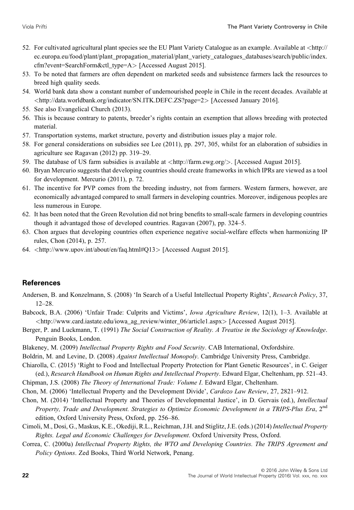- 52. For cultivated agricultural plant species see the EU Plant Variety Catalogue as an example. Available at <[http://](http://ec.europa.eu/food/plant/plant_propagation_material/plant_variety_catalogues_databases/search/public/index.cfm?event=SearchForm&ctl_type=A) [ec.europa.eu/food/plant/plant\\_propagation\\_material/plant\\_variety\\_catalogues\\_databases/search/public/index.](http://ec.europa.eu/food/plant/plant_propagation_material/plant_variety_catalogues_databases/search/public/index.cfm?event=SearchForm&ctl_type=A) [cfm?event=SearchForm&ctl\\_type=A](http://ec.europa.eu/food/plant/plant_propagation_material/plant_variety_catalogues_databases/search/public/index.cfm?event=SearchForm&ctl_type=A)> [Accessed August 2015].
- 53. To be noted that farmers are often dependent on marketed seeds and subsistence farmers lack the resources to breed high quality seeds.
- 54. World bank data show a constant number of undernourished people in Chile in the recent decades. Available at <<http://data.worldbank.org/indicator/SN.ITK.DEFC.ZS?page=2>> [Accessed January 2016].
- 55. See also Evangelical Church (2013).
- 56. This is because contrary to patents, breeder's rights contain an exemption that allows breeding with protected material.
- 57. Transportation systems, market structure, poverty and distribution issues play a major role.
- 58. For general considerations on subsidies see Lee (2011), pp. 297, 305, whilst for an elaboration of subsidies in agriculture see Ragavan (2012) pp. 319–29.
- 59. The database of US farm subsidies is available at <<http://farm.ewg.org/>>. [Accessed August 2015].
- 60. Bryan Mercurio suggests that developing countries should create frameworks in which IPRs are viewed as a tool for development. Mercurio (2011), p. 72.
- 61. The incentive for PVP comes from the breeding industry, not from farmers. Western farmers, however, are economically advantaged compared to small farmers in developing countries. Moreover, indigenous peoples are less numerous in Europe.
- 62. It has been noted that the Green Revolution did not bring benefits to small-scale farmers in developing countries though it advantaged those of developed countries. Ragavan (2007), pp. 324–5.
- 63. Chon argues that developing countries often experience negative social-welfare effects when harmonizing IP rules, Chon (2014), p. 257.
- 64. <[http://www.upov.int/about/en/faq.html#](http://www.upov.int/about/en/faq.html#Q13)Q13> [Accessed August 2015].

# **References**

- Andersen, B. and Konzelmann, S. (2008) 'In Search of a Useful Intellectual Property Rights', Research Policy, 37, 12–28.
- Babcock, B.A. (2006) 'Unfair Trade: Culprits and Victims', Iowa Agriculture Review, 12(1), 1–3. Available at <[http://www.card.iastate.edu/iowa\\_ag\\_review/winter\\_06/article1.aspx](http://www.card.iastate.edu/iowa_ag_review/winter_06/article1.aspx)> [Accessed August 2015].
- Berger, P. and Luckmann, T. (1991) The Social Construction of Reality. A Treatise in the Sociology of Knowledge. Penguin Books, London.
- Blakeney, M. (2009) Intellectual Property Rights and Food Security. CAB International, Oxfordshire.
- Boldrin, M. and Levine, D. (2008) Against Intellectual Monopoly. Cambridge University Press, Cambridge.
- Chiarolla, C. (2015) 'Right to Food and Intellectual Property Protection for Plant Genetic Resources', in C. Geiger (ed.), Research Handbook on Human Rights and Intellectual Property. Edward Elgar, Cheltenham, pp. 521–43.
- Chipman, J.S. (2008) The Theory of International Trade: Volume I. Edward Elgar, Cheltenham.
- Chon, M. (2006) 'Intellectual Property and the Development Divide', Cardozo Law Review, 27, 2821–912.
- Chon, M. (2014) 'Intellectual Property and Theories of Developmental Justice', in D. Gervais (ed.), Intellectual Property, Trade and Development. Strategies to Optimize Economic Development in a TRIPS-Plus Era, 2nd edition, Oxford University Press, Oxford, pp. 256–86.
- Cimoli, M., Dosi, G., Maskus, K.E., Okediji, R.L., Reichman, J.H. and Stiglitz, J.E. (eds.) (2014) Intellectual Property Rights. Legal and Economic Challenges for Development. Oxford University Press, Oxford.
- Correa, C. (2000a) Intellectual Property Rights, the WTO and Developing Countries. The TRIPS Agreement and Policy Options. Zed Books, Third World Network, Penang.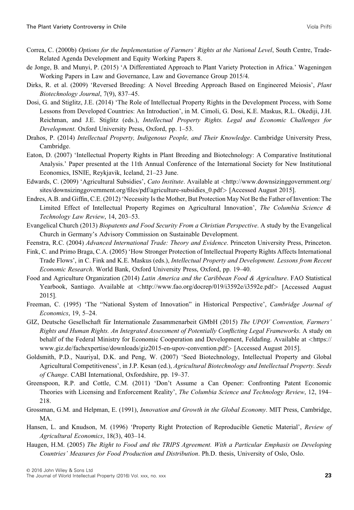- Correa, C. (2000b) Options for the Implementation of Farmers' Rights at the National Level, South Centre, Trade-Related Agenda Development and Equity Working Papers 8.
- de Jonge, B. and Munyi, P. (2015) 'A Differentiated Approach to Plant Variety Protection in Africa.' Wageningen Working Papers in Law and Governance, Law and Governance Group 2015/4.
- Dirks, R. et al. (2009) 'Reversed Breeding: A Novel Breeding Approach Based on Engineered Meiosis', Plant Biotechnology Journal, 7(9), 837–45.
- Dosi, G. and Stiglitz, J.E. (2014) 'The Role of Intellectual Property Rights in the Development Process, with Some Lessons from Developed Countries: An Introduction', in M. Cimoli, G. Dosi, K.E. Maskus, R.L. Okediji, J.H. Reichman, and J.E. Stiglitz (eds.), Intellectual Property Rights. Legal and Economic Challenges for Development. Oxford University Press, Oxford, pp. 1–53.
- Drahos, P. (2014) Intellectual Property, Indigenous People, and Their Knowledge. Cambridge University Press, Cambridge.
- Eaton, D. (2007) 'Intellectual Property Rights in Plant Breeding and Biotechnology: A Comparative Institutional Analysis.' Paper presented at the 11th Annual Conference of the International Society for New Institutional Economics, ISNIE, Reykjavik, Iceland, 21–23 June.
- Edwards, C. (2009) 'Agricultural Subsidies', Cato Institute. Available at <[http://www.downsizinggovernment.org/](http://www.downsizinggovernment.org/sites/downsizinggovernment.org/files/pdf/agriculture-subsidies_0.pdf) sites/downsizinggovernment.org/fi[les/pdf/agriculture-subsidies\\_0.pdf](http://www.downsizinggovernment.org/sites/downsizinggovernment.org/files/pdf/agriculture-subsidies_0.pdf)> [Accessed August 2015].
- Endres, A.B. and Giffin, C.E. (2012) 'Necessity Is the Mother, But Protection May Not Be the Father of Invention: The Limited Effect of Intellectual Property Regimes on Agricultural Innovation', The Columbia Science & Technology Law Review, 14, 203–53.
- Evangelical Church (2013) Biopatents and Food Security From a Christian Perspective. A study by the Evangelical Church in Germany's Advisory Commission on Sustainable Development.
- Feenstra, R.C. (2004) Advanced International Trade: Theory and Evidence. Princeton University Press, Princeton.
- Fink, C. and Primo Braga, C.A. (2005) 'How Stronger Protection of Intellectual Property Rights Affects International Trade Flows', in C. Fink and K.E. Maskus (eds.), Intellectual Property and Development. Lessons from Recent Economic Research. World Bank, Oxford University Press, Oxford, pp. 19–40.
- Food and Agriculture Organization (2014) Latin America and the Caribbean Food & Agriculture. FAO Statistical Yearbook, Santiago. Available at <<http://www.fao.org/docrep/019/i3592e/i3592e.pdf>> [Accessed August] 2015].
- Freeman, C. (1995) 'The "National System of Innovation" in Historical Perspective', Cambridge Journal of Economics, 19, 5–24.
- GIZ, Deutsche Gesellschaft für Internationale Zusammenarbeit GMbH (2015) The UPOV Convention, Farmers' Rights and Human Rights. An Integrated Assessment of Potentially Conflicting Legal Frameworks. A study on behalf of the Federal Ministry for Economic Cooperation and Development, Feldafing. Available at <[https://](https://www.giz.de/fachexpertise/downloads/giz2015-en-upov-convention.pdf) [www.giz.de/fachexpertise/downloads/giz2015-en-upov-convention.pdf](https://www.giz.de/fachexpertise/downloads/giz2015-en-upov-convention.pdf)> [Accessed August 2015].
- Goldsmith, P.D., Nauriyal, D.K. and Peng, W. (2007) 'Seed Biotechnology, Intellectual Property and Global Agricultural Competitiveness', in J.P. Kesan (ed.), Agricultural Biotechnology and Intellectual Property. Seeds of Change. CABI International, Oxfordshire, pp. 19–37.
- Greenspoon, R.P. and Cottle, C.M. (2011) 'Don't Assume a Can Opener: Confronting Patent Economic Theories with Licensing and Enforcement Reality', The Columbia Science and Technology Review, 12, 194– 218.
- Grossman, G.M. and Helpman, E. (1991), Innovation and Growth in the Global Economy. MIT Press, Cambridge, MA.
- Hansen, L. and Knudson, M. (1996) 'Property Right Protection of Reproducible Genetic Material', Review of Agricultural Economics, 18(3), 403–14.
- Haugen, H.M. (2005) The Right to Food and the TRIPS Agreement. With a Particular Emphasis on Developing Countries' Measures for Food Production and Distribution. Ph.D. thesis, University of Oslo, Oslo.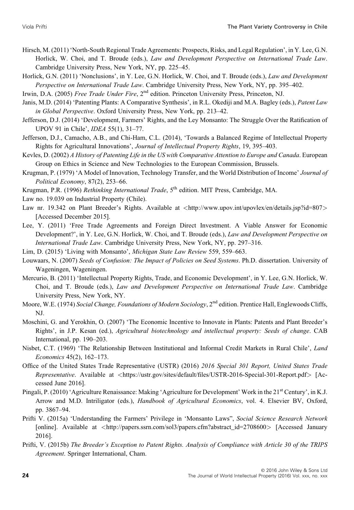- Hirsch, M. (2011) 'North-South Regional Trade Agreements: Prospects, Risks, and Legal Regulation', in Y. Lee, G.N. Horlick, W. Choi, and T. Broude (eds.), Law and Development Perspective on International Trade Law. Cambridge University Press, New York, NY, pp. 225–45.
- Horlick, G.N. (2011) 'Nonclusions', in Y. Lee, G.N. Horlick, W. Choi, and T. Broude (eds.), Law and Development Perspective on International Trade Law. Cambridge University Press, New York, NY, pp. 395-402.
- Irwin, D.A. (2005) Free Trade Under Fire, 2<sup>nd</sup> edition. Princeton University Press, Princeton, NJ.
- Janis, M.D. (2014) 'Patenting Plants: A Comparative Synthesis', in R.L. Okediji and M.A. Bagley (eds.), Patent Law in Global Perspective. Oxford University Press, New York, pp. 213–42.
- Jefferson, D.J. (2014) 'Development, Farmers' Rights, and the Ley Monsanto: The Struggle Over the Ratification of UPOV 91 in Chile', IDEA 55(1), 31–77.
- Jefferson, D.J., Camacho, A.B., and Chi-Ham, C.L. (2014), 'Towards a Balanced Regime of Intellectual Property Rights for Agricultural Innovations', Journal of Intellectual Property Rights, 19, 395–403.
- Kevles, D. (2002) A History of Patenting Life in the US with Comparative Attention to Europe and Canada. European Group on Ethics in Science and New Technologies to the European Commission, Brussels.
- Krugman, P. (1979) 'A Model of Innovation, Technology Transfer, and the World Distribution of Income' Journal of Political Economy, 87(2), 253–66.
- Krugman, P.R. (1996) Rethinking International Trade, 5<sup>th</sup> edition. MIT Press, Cambridge, MA.
- Law no. 19.039 on Industrial Property (Chile).
- Law nr. 19.342 on Plant Breeder's Rights. Available at <<http://www.upov.int/upovlex/en/details.jsp?id=807>> [Accessed December 2015].
- Lee, Y. (2011) 'Free Trade Agreements and Foreign Direct Investment. A Viable Answer for Economic Development?', in Y. Lee, G.N. Horlick, W. Choi, and T. Broude (eds.), Law and Development Perspective on International Trade Law. Cambridge University Press, New York, NY, pp. 297–316.
- Lim, D. (2015) 'Living with Monsanto', Michigan State Law Review 559, 559–663.
- Louwaars, N. (2007) Seeds of Confusion: The Impact of Policies on Seed Systems. Ph.D. dissertation. University of Wageningen, Wageningen.
- Mercurio, B. (2011) 'Intellectual Property Rights, Trade, and Economic Development', in Y. Lee, G.N. Horlick, W. Choi, and T. Broude (eds.), Law and Development Perspective on International Trade Law. Cambridge University Press, New York, NY.
- Moore, W.E. (1974) Social Change, Foundations of Modern Sociology, 2<sup>nd</sup> edition. Prentice Hall, Englewoods Cliffs. NJ.
- Moschini, G. and Yerokhin, O. (2007) 'The Economic Incentive to Innovate in Plants: Patents and Plant Breeder's Rights', in J.P. Kesan (ed.), Agricultural biotechnology and intellectual property: Seeds of change. CAB International, pp. 190–203.
- Nisbet, C.T. (1969) 'The Relationship Between Institutional and Informal Credit Markets in Rural Chile', Land Economics 45(2), 162–173.
- Office of the United States Trade Representative (USTR) (2016) 2016 Special 301 Report, United States Trade Representative. Available at <https://ustr.gov/sites/default/fi[les/USTR-2016-Special-301-Report.pdf](https://ustr.gov/sites/default/files/USTR-2016-Special-301-Report.pdf)> [Accessed June 2016].
- Pingali, P. (2010) 'Agriculture Renaissance: Making 'Agriculture for Development' Work in the 21<sup>st</sup> Century', in K.J. Arrow and M.D. Intriligator (eds.), Handbook of Agricultural Economics, vol. 4. Elsevier BV, Oxford, pp. 3867–94.
- Prifti V. (2015a) 'Understanding the Farmers' Privilege in 'Monsanto Laws'', Social Science Research Network [online]. Available at <[http://papers.ssrn.com/sol3/papers.cfm?abstract\\_id=2708600](http://papers.ssrn.com/sol3/papers.cfm?abstract_id=2708600)> [Accessed January 2016].
- Prifti, V. (2015b) The Breeder's Exception to Patent Rights. Analysis of Compliance with Article 30 of the TRIPS Agreement. Springer International, Cham.